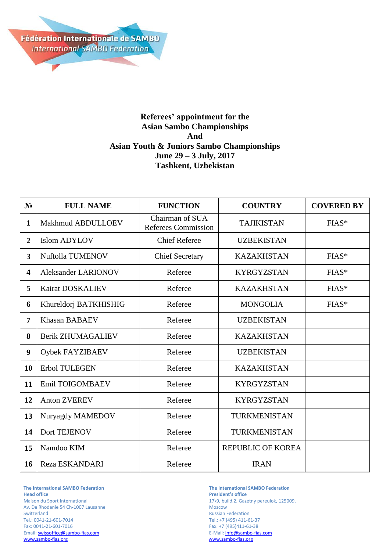

## **Referees' appointment for the Asian Sambo Championships And Asian Youth & Juniors Sambo Championships June 29 – 3 July, 2017 Tashkent, Uzbekistan**

| N <sub>2</sub>          | <b>FULL NAME</b>         | <b>FUNCTION</b>                               | <b>COUNTRY</b>           | <b>COVERED BY</b> |
|-------------------------|--------------------------|-----------------------------------------------|--------------------------|-------------------|
| $\mathbf{1}$            | Makhmud ABDULLOEV        | Chairman of SUA<br><b>Referees Commission</b> | <b>TAJIKISTAN</b>        | FIAS*             |
| $\overline{2}$          | <b>Islom ADYLOV</b>      | <b>Chief Referee</b>                          | <b>UZBEKISTAN</b>        |                   |
| $\overline{\mathbf{3}}$ | Nuftolla TUMENOV         | <b>Chief Secretary</b>                        | <b>KAZAKHSTAN</b>        | $FIAS*$           |
| 4                       | Aleksander LARIONOV      | Referee                                       | <b>KYRGYZSTAN</b>        | FIAS*             |
| 5                       | Kairat DOSKALIEV         | Referee                                       | <b>KAZAKHSTAN</b>        | $FIAS*$           |
| 6                       | Khureldorj BATKHISHIG    | Referee                                       | <b>MONGOLIA</b>          | $FIAS*$           |
| 7                       | <b>Khasan BABAEV</b>     | Referee                                       | <b>UZBEKISTAN</b>        |                   |
| 8                       | <b>Berik ZHUMAGALIEV</b> | Referee                                       | <b>KAZAKHSTAN</b>        |                   |
| 9                       | Oybek FAYZIBAEV          | Referee                                       | <b>UZBEKISTAN</b>        |                   |
| 10                      | Erbol TULEGEN            | Referee                                       | <b>KAZAKHSTAN</b>        |                   |
| 11                      | Emil TOIGOMBAEV          | Referee                                       | <b>KYRGYZSTAN</b>        |                   |
| 12                      | <b>Anton ZVEREV</b>      | Referee                                       | <b>KYRGYZSTAN</b>        |                   |
| 13                      | Nuryagdy MAMEDOV         | Referee                                       | TURKMENISTAN             |                   |
| 14                      | Dort TEJENOV             | Referee                                       | TURKMENISTAN             |                   |
| 15                      | Namdoo KIM               | Referee                                       | <b>REPUBLIC OF KOREA</b> |                   |
| 16                      | Reza ESKANDARI           | Referee                                       | <b>IRAN</b>              |                   |

**The International SAMBO Federation The International SAMBO Federation** Av. De Rhodanie 54 Ch-1007 Lausanne Switzerland Russian Federation<br>
Tel.: 0041-21-601-7014 CHE RUSSIAN Tel.: +7 (495) 411-6 Tel.: 0041-21-601-7014 Tel.: +7 (495) 411-61-37 Email[: swissoffice@sambo-fias.com](mailto:swissoffice@sambo-fias.com)<br>www.sambo-fias.org

**President's office** Maison du Sport International 17\9, build.2, Gazetny pereulok, 125009, Av. De Rhodanie 54 Ch-1007 Lausanne Fax: +7 (495)411-61-38<br>E-Mail: info@sambo-fias.com www.sambo-fias.org